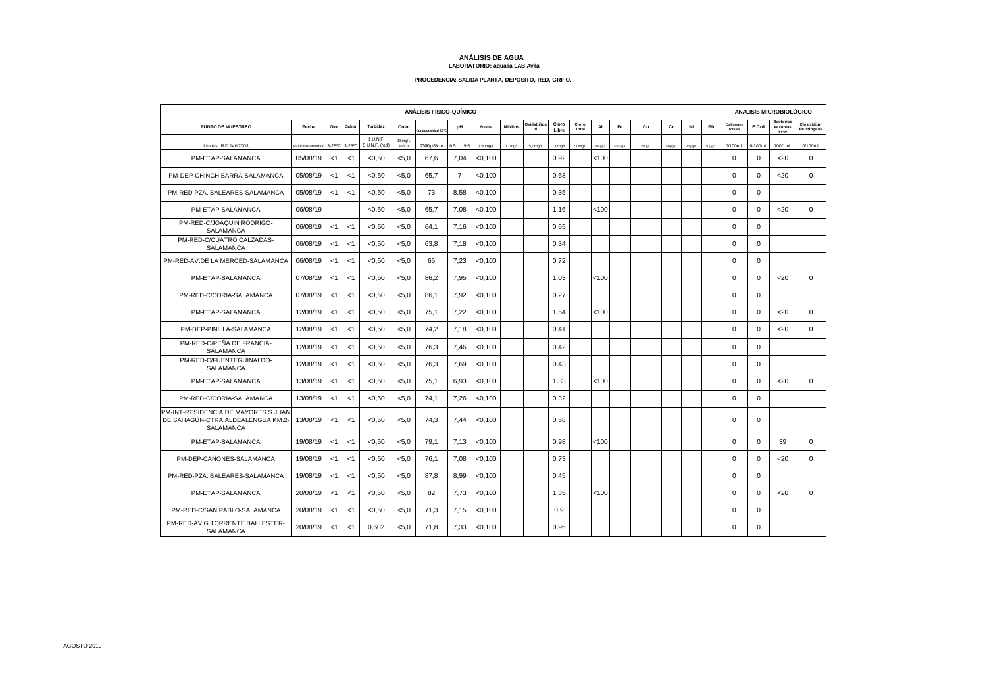## **ANÁLISIS DE AGUA LABORATORIO: aqualia LAB Avila**

## **PROCEDENCIA: SALIDA PLANTA, DEPOSITO, RED, GRIFO.**

| ANÁLISIS FISICO-QUÍMICO                                                                      |                   |        |        |                            |                 |                        |         |             |                 |                            |                     |                |              | ANALISIS MICROBIOLÓGICO |          |             |        |             |                       |             |                                      |                            |
|----------------------------------------------------------------------------------------------|-------------------|--------|--------|----------------------------|-----------------|------------------------|---------|-------------|-----------------|----------------------------|---------------------|----------------|--------------|-------------------------|----------|-------------|--------|-------------|-----------------------|-------------|--------------------------------------|----------------------------|
| PUNTO DE MUESTREO                                                                            | Fecha             | Olor   | Sabo   | Turbidez                   | Color           | ividad 25 <sup>o</sup> | pH      | Amonio      | <b>Nitritos</b> | Oxidabilida<br>$\mathbf d$ | Cloro<br>Libre      | Cloro<br>Total | AI           | Fe                      | Cu       | Cr          | Ni     | Pb          | Coliformes<br>Totales | E.Coli      | <b>Bacterias</b><br>Aerobias<br>22°C | Clostridium<br>Perfringens |
| Límites R.D 140/2003                                                                         | /alor Paramétrico | 3-25°C | 3-25°C | 1 U.N.F.<br>5 U.N.F. (red) | 15mg/L<br>Pt/Co | 2500 uS/cm             | 6,5 9,5 | $0.50$ mg/L | $0.1$ mg/L      | $5,0$ mg/L                 | 1.0 <sub>mq/L</sub> | $2,0$ mg/L     | $200\mu$ g/L | $200\mu$ g/L            | $2$ mg/L | $50\mu$ g/L | 20µg/L | $10\mu$ g/L | 0/100mL               | $0/100$ ml  | 100/1mL                              | 0/100mL                    |
| PM-ETAP-SALAMANCA                                                                            | 05/08/19          | <1     | < 1    | < 0.50                     | < 5.0           | 67.6                   | 7.04    | $<$ 0,100   |                 |                            | 0.92                |                | 100          |                         |          |             |        |             | $\mathbf 0$           | $\mathbf 0$ | $20$                                 | $\mathbf 0$                |
| PM-DEP-CHINCHIBARRA-SALAMANCA                                                                | 05/08/19          | < 1    | < 1    | < 0.50                     | < 5.0           | 65.7                   | 7       | $<$ 0,100   |                 |                            | 0,68                |                |              |                         |          |             |        |             | $\Omega$              | $\Omega$    | $20$                                 | $\Omega$                   |
| PM-RED-PZA, BALEARES-SALAMANCA                                                               | 05/08/19          | < 1    | < 1    | < 0, 50                    | < 5.0           | 73                     | 8,58    | < 0,100     |                 |                            | 0,35                |                |              |                         |          |             |        |             | 0                     | $\mathbf 0$ |                                      |                            |
| PM-ETAP-SALAMANCA                                                                            | 06/08/19          |        |        | < 0.50                     | < 5.0           | 65.7                   | 7.08    | $<$ 0,100   |                 |                            | 1.16                |                | < 100        |                         |          |             |        |             | $\mathbf 0$           | $\mathbf 0$ | 20                                   | $\mathbf 0$                |
| PM-RED-C/JOAQUIN RODRIGO-<br>SALAMANCA                                                       | 06/08/19          | <1     | <1     | <0,50                      | < 5.0           | 64.1                   | 7,16    | < 0,100     |                 |                            | 0.65                |                |              |                         |          |             |        |             | $\Omega$              | $\mathbf 0$ |                                      |                            |
| PM-RED-C/CUATRO CALZADAS-<br>SALAMANCA                                                       | 06/08/19          | $<$ 1  | <1     | <0,50                      | < 5.0           | 63,8                   | 7,18    | < 0, 100    |                 |                            | 0.34                |                |              |                         |          |             |        |             | $\Omega$              | $\mathbf 0$ |                                      |                            |
| PM-RED-AV.DE LA MERCED-SALAMANCA                                                             | 06/08/19          | $<$ 1  | < 1    | <0,50                      | < 5.0           | 65                     | 7,23    | < 0, 100    |                 |                            | 0.72                |                |              |                         |          |             |        |             | $\mathbf 0$           | 0           |                                      |                            |
| PM-ETAP-SALAMANCA                                                                            | 07/08/19          | <1     | <1     | < 0.50                     | < 5.0           | 86.2                   | 7.95    | $<$ 0,100   |                 |                            | 1.03                |                | 100          |                         |          |             |        |             | $\mathbf 0$           | 0           | 20                                   | $\mathbf 0$                |
| PM-RED-C/CORIA-SALAMANCA                                                                     | 07/08/19          | $<$ 1  | <1     | < 0.50                     | < 5.0           | 86.1                   | 7.92    | < 0.100     |                 |                            | 0.27                |                |              |                         |          |             |        |             | $\Omega$              | $\Omega$    |                                      |                            |
| PM-ETAP-SALAMANCA                                                                            | 12/08/19          | <1     | <1     | < 0.50                     | < 5.0           | 75.1                   | 7.22    | < 0.100     |                 |                            | 1.54                |                | < 100        |                         |          |             |        |             | $\mathbf 0$           | $\mathbf 0$ | 20                                   | $\mathbf{0}$               |
| PM-DEP-PINILLA-SALAMANCA                                                                     | 12/08/19          | $<$ 1  | < 1    | <0,50                      | < 5.0           | 74,2                   | 7,18    | < 0, 100    |                 |                            | 0,41                |                |              |                         |          |             |        |             | $\mathbf 0$           | $\mathbf 0$ | <20                                  | $\mathbf 0$                |
| PM-RED-C/PEÑA DE FRANCIA-<br><b>SALAMANCA</b>                                                | 12/08/19          | <1     | <1     | < 0.50                     | < 5.0           | 76.3                   | 7.46    | < 0,100     |                 |                            | 0.42                |                |              |                         |          |             |        |             | $\mathbf 0$           | 0           |                                      |                            |
| PM-RED-C/FUENTEGUINALDO-<br><b>SALAMANCA</b>                                                 | 12/08/19          | <1     | < 1    | < 0.50                     | < 5.0           | 76,3                   | 7,69    | $<$ 0,100   |                 |                            | 0,43                |                |              |                         |          |             |        |             | $\Omega$              | $\Omega$    |                                      |                            |
| PM-ETAP-SALAMANCA                                                                            | 13/08/19          | < 1    | < 1    | <0,50                      | < 5.0           | 75,1                   | 6,93    | < 0, 100    |                 |                            | 1,33                |                | < 100        |                         |          |             |        |             | $\Omega$              | $\Omega$    | $20$                                 | $\Omega$                   |
| PM-RED-C/CORIA-SALAMANCA                                                                     | 13/08/19          | <1     | <1     | < 0.50                     | < 5.0           | 74.1                   | 7,26    | < 0.100     |                 |                            | 0,32                |                |              |                         |          |             |        |             | $\mathbf 0$           | $\mathbf 0$ |                                      |                            |
| PM-INT-RESIDENCIA DE MAYORES S.JUAN<br>DE SAHAGÚN-CTRA.ALDEALENGUA KM.2-<br><b>SALAMANCA</b> | 13/08/19          | $<$ 1  | <1     | <0,50                      | < 5.0           | 74.3                   | 7,44    | $<$ 0,100   |                 |                            | 0.58                |                |              |                         |          |             |        |             | $\mathbf 0$           | $\mathbf 0$ |                                      |                            |
| PM-ETAP-SALAMANCA                                                                            | 19/08/19          | <1     | <1     | < 0.50                     | < 5.0           | 79.1                   | 7.13    | < 0, 100    |                 |                            | 0.98                |                | < 100        |                         |          |             |        |             | $\mathbf 0$           | $\mathbf 0$ | 39                                   | $\mathbf 0$                |
| PM-DEP-CAÑONES-SALAMANCA                                                                     | 19/08/19          | <1     | <1     | <0,50                      | < 5.0           | 76.1                   | 7.08    | < 0,100     |                 |                            | 0.73                |                |              |                         |          |             |        |             | $\Omega$              | $\Omega$    | 20                                   | $\mathbf{0}$               |
| PM-RED-PZA. BALEARES-SALAMANCA                                                               | 19/08/19          | <1     | <1     | <0,50                      | < 5.0           | 87,8                   | 8,99    | < 0, 100    |                 |                            | 0.45                |                |              |                         |          |             |        |             | $\mathbf 0$           | $\mathbf 0$ |                                      |                            |
| PM-ETAP-SALAMANCA                                                                            | 20/08/19          | $<$ 1  | < 1    | <0,50                      | < 5.0           | 82                     | 7,73    | $<$ 0,100   |                 |                            | 1,35                |                | < 100        |                         |          |             |        |             | $\mathbf 0$           | $\mathbf 0$ | <20                                  | $\mathbf 0$                |
| PM-RED-C/SAN PABLO-SALAMANCA                                                                 | 20/08/19          | $<$ 1  | <1     | < 0.50                     | < 5.0           | 71.3                   | 7.15    | < 0,100     |                 |                            | 0.9                 |                |              |                         |          |             |        |             | $\Omega$              | 0           |                                      |                            |
| PM-RED-AV.G.TORRENTE BALLESTER-<br><b>SALAMANCA</b>                                          | 20/08/19          | < 1    | <1     | 0.602                      | < 5.0           | 71.8                   | 7.33    | < 0.100     |                 |                            | 0.96                |                |              |                         |          |             |        |             | $\Omega$              | $\Omega$    |                                      |                            |